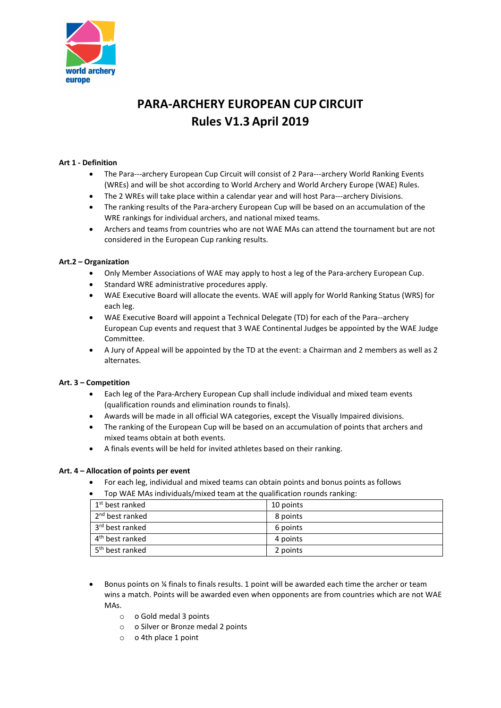

# PARA-ARCHERY EUROPEAN CUP CIRCUIT Rules V1.3 April 2019

# Art 1 - Definition

- The Para---archery European Cup Circuit will consist of 2 Para---archery World Ranking Events (WREs) and will be shot according to World Archery and World Archery Europe (WAE) Rules.
- The 2 WREs will take place within a calendar year and will host Para---archery Divisions.
- The ranking results of the Para-archery European Cup will be based on an accumulation of the WRE rankings for individual archers, and national mixed teams.
- Archers and teams from countries who are not WAE MAs can attend the tournament but are not considered in the European Cup ranking results.

## Art.2 – Organization

- Only Member Associations of WAE may apply to host a leg of the Para-archery European Cup.
- Standard WRE administrative procedures apply.
- WAE Executive Board will allocate the events. WAE will apply for World Ranking Status (WRS) for each leg.
- WAE Executive Board will appoint a Technical Delegate (TD) for each of the Para--archery European Cup events and request that 3 WAE Continental Judges be appointed by the WAE Judge Committee.
- A Jury of Appeal will be appointed by the TD at the event: a Chairman and 2 members as well as 2 alternates.

## Art. 3 – Competition

- Each leg of the Para-Archery European Cup shall include individual and mixed team events (qualification rounds and elimination rounds to finals).
- Awards will be made in all official WA categories, except the Visually Impaired divisions.
- The ranking of the European Cup will be based on an accumulation of points that archers and mixed teams obtain at both events.
- A finals events will be held for invited athletes based on their ranking.

## Art. 4 – Allocation of points per event

- For each leg, individual and mixed teams can obtain points and bonus points as follows
- Top WAE MAs individuals/mixed team at the qualification rounds ranking:

| 1 <sup>st</sup> best ranked | 10 points |
|-----------------------------|-----------|
| 2 <sup>nd</sup> best ranked | 8 points  |
| 3 <sup>rd</sup> best ranked | 6 points  |
| $4th$ best ranked           | 4 points  |
| 5 <sup>th</sup> best ranked | 2 points  |

- Bonus points on ¼ finals to finals results. 1 point will be awarded each time the archer or team wins a match. Points will be awarded even when opponents are from countries which are not WAE MAs.
	- o o Gold medal 3 points
	- o o Silver or Bronze medal 2 points
	- o o 4th place 1 point